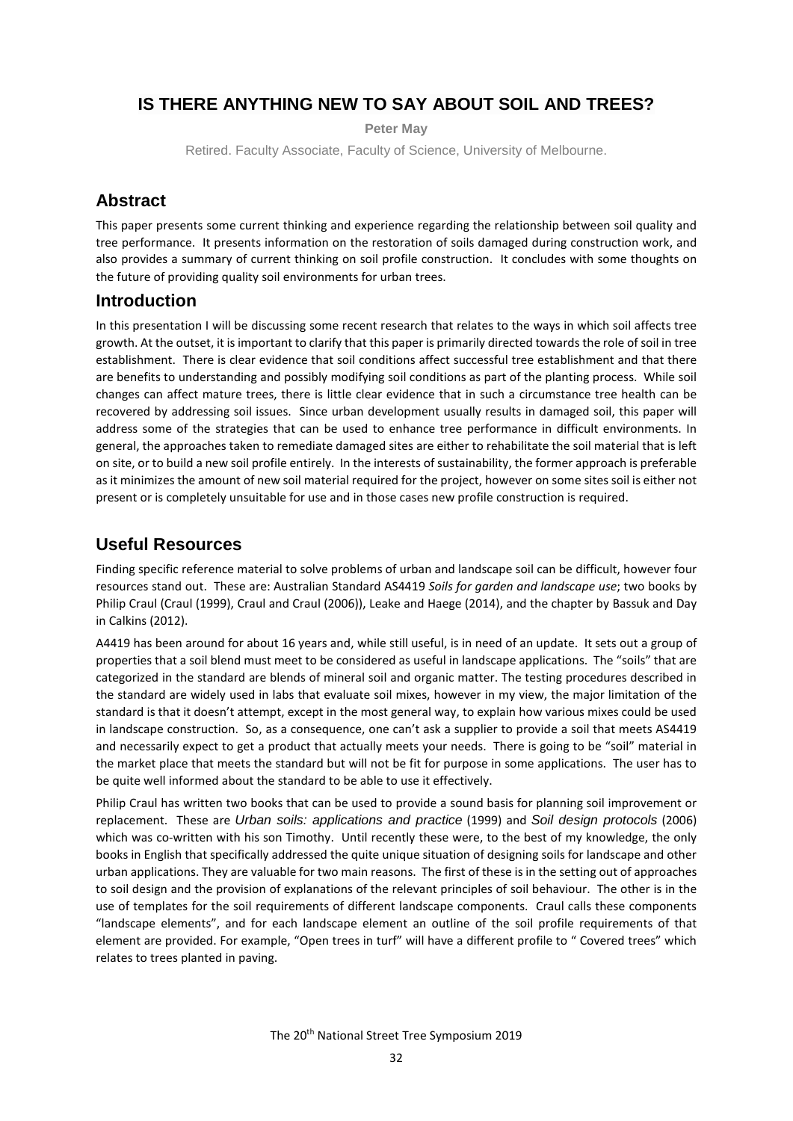## **IS THERE ANYTHING NEW TO SAY ABOUT SOIL AND TREES?**

**Peter May**

Retired. Faculty Associate, Faculty of Science, University of Melbourne.

### **Abstract**

This paper presents some current thinking and experience regarding the relationship between soil quality and tree performance. It presents information on the restoration of soils damaged during construction work, and also provides a summary of current thinking on soil profile construction. It concludes with some thoughts on the future of providing quality soil environments for urban trees.

#### **Introduction**

In this presentation I will be discussing some recent research that relates to the ways in which soil affects tree growth. At the outset, it is important to clarify that this paper is primarily directed towards the role of soil in tree establishment. There is clear evidence that soil conditions affect successful tree establishment and that there are benefits to understanding and possibly modifying soil conditions as part of the planting process. While soil changes can affect mature trees, there is little clear evidence that in such a circumstance tree health can be recovered by addressing soil issues. Since urban development usually results in damaged soil, this paper will address some of the strategies that can be used to enhance tree performance in difficult environments. In general, the approaches taken to remediate damaged sites are either to rehabilitate the soil material that is left on site, or to build a new soil profile entirely. In the interests of sustainability, the former approach is preferable as it minimizes the amount of new soil material required for the project, however on some sites soil is either not present or is completely unsuitable for use and in those cases new profile construction is required.

#### **Useful Resources**

Finding specific reference material to solve problems of urban and landscape soil can be difficult, however four resources stand out. These are: Australian Standard AS4419 *Soils for garden and landscape use*; two books by Philip Craul (Craul (1999), Craul and Craul (2006)), Leake and Haege (2014), and the chapter by Bassuk and Day in Calkins (2012).

A4419 has been around for about 16 years and, while still useful, is in need of an update. It sets out a group of properties that a soil blend must meet to be considered as useful in landscape applications. The "soils" that are categorized in the standard are blends of mineral soil and organic matter. The testing procedures described in the standard are widely used in labs that evaluate soil mixes, however in my view, the major limitation of the standard is that it doesn't attempt, except in the most general way, to explain how various mixes could be used in landscape construction. So, as a consequence, one can't ask a supplier to provide a soil that meets AS4419 and necessarily expect to get a product that actually meets your needs. There is going to be "soil" material in the market place that meets the standard but will not be fit for purpose in some applications. The user has to be quite well informed about the standard to be able to use it effectively.

Philip Craul has written two books that can be used to provide a sound basis for planning soil improvement or replacement. These are *Urban soils: applications and practice* (1999) and *Soil design protocols* (2006) which was co-written with his son Timothy. Until recently these were, to the best of my knowledge, the only books in English that specifically addressed the quite unique situation of designing soils for landscape and other urban applications. They are valuable for two main reasons. The first of these is in the setting out of approaches to soil design and the provision of explanations of the relevant principles of soil behaviour. The other is in the use of templates for the soil requirements of different landscape components. Craul calls these components "landscape elements", and for each landscape element an outline of the soil profile requirements of that element are provided. For example, "Open trees in turf" will have a different profile to " Covered trees" which relates to trees planted in paving.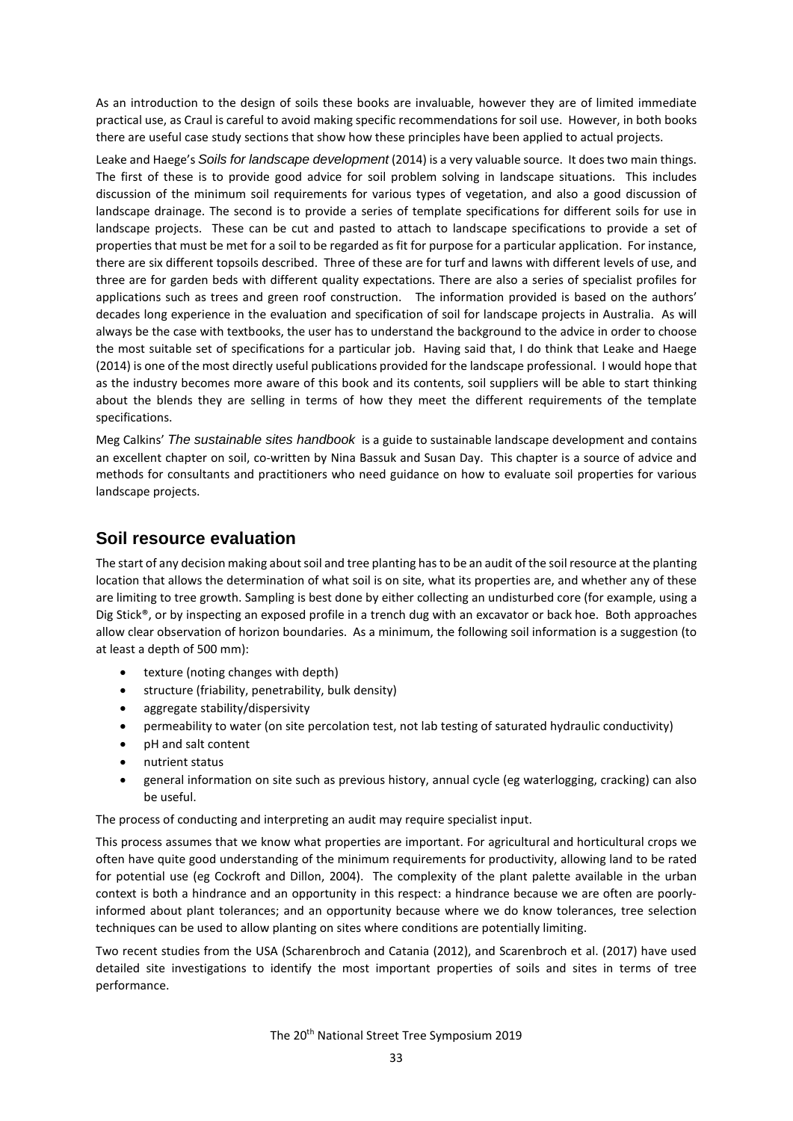As an introduction to the design of soils these books are invaluable, however they are of limited immediate practical use, as Craul is careful to avoid making specific recommendations for soil use. However, in both books there are useful case study sections that show how these principles have been applied to actual projects.

Leake and Haege's *Soils for landscape development* (2014) is a very valuable source. It does two main things. The first of these is to provide good advice for soil problem solving in landscape situations. This includes discussion of the minimum soil requirements for various types of vegetation, and also a good discussion of landscape drainage. The second is to provide a series of template specifications for different soils for use in landscape projects. These can be cut and pasted to attach to landscape specifications to provide a set of properties that must be met for a soil to be regarded as fit for purpose for a particular application. For instance, there are six different topsoils described. Three of these are for turf and lawns with different levels of use, and three are for garden beds with different quality expectations. There are also a series of specialist profiles for applications such as trees and green roof construction. The information provided is based on the authors' decades long experience in the evaluation and specification of soil for landscape projects in Australia. As will always be the case with textbooks, the user has to understand the background to the advice in order to choose the most suitable set of specifications for a particular job. Having said that, I do think that Leake and Haege (2014) is one of the most directly useful publications provided for the landscape professional. I would hope that as the industry becomes more aware of this book and its contents, soil suppliers will be able to start thinking about the blends they are selling in terms of how they meet the different requirements of the template specifications.

Meg Calkins' *The sustainable sites handbook* is a guide to sustainable landscape development and contains an excellent chapter on soil, co-written by Nina Bassuk and Susan Day. This chapter is a source of advice and methods for consultants and practitioners who need guidance on how to evaluate soil properties for various landscape projects.

### **Soil resource evaluation**

The start of any decision making about soil and tree planting has to be an audit of the soil resource at the planting location that allows the determination of what soil is on site, what its properties are, and whether any of these are limiting to tree growth. Sampling is best done by either collecting an undisturbed core (for example, using a Dig Stick®, or by inspecting an exposed profile in a trench dug with an excavator or back hoe. Both approaches allow clear observation of horizon boundaries. As a minimum, the following soil information is a suggestion (to at least a depth of 500 mm):

- texture (noting changes with depth)
- structure (friability, penetrability, bulk density)
- aggregate stability/dispersivity
- permeability to water (on site percolation test, not lab testing of saturated hydraulic conductivity)
- pH and salt content
- nutrient status
- general information on site such as previous history, annual cycle (eg waterlogging, cracking) can also be useful.

The process of conducting and interpreting an audit may require specialist input.

This process assumes that we know what properties are important. For agricultural and horticultural crops we often have quite good understanding of the minimum requirements for productivity, allowing land to be rated for potential use (eg Cockroft and Dillon, 2004). The complexity of the plant palette available in the urban context is both a hindrance and an opportunity in this respect: a hindrance because we are often are poorlyinformed about plant tolerances; and an opportunity because where we do know tolerances, tree selection techniques can be used to allow planting on sites where conditions are potentially limiting.

Two recent studies from the USA (Scharenbroch and Catania (2012), and Scarenbroch et al. (2017) have used detailed site investigations to identify the most important properties of soils and sites in terms of tree performance.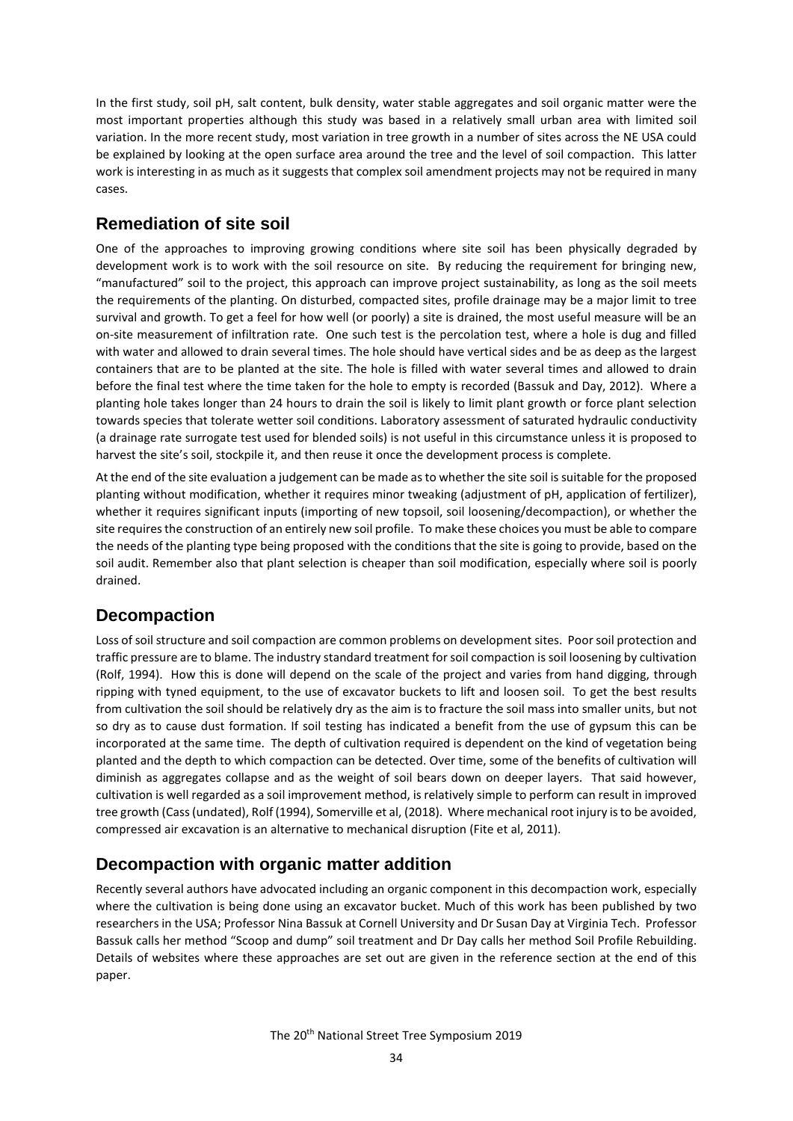In the first study, soil pH, salt content, bulk density, water stable aggregates and soil organic matter were the most important properties although this study was based in a relatively small urban area with limited soil variation. In the more recent study, most variation in tree growth in a number of sites across the NE USA could be explained by looking at the open surface area around the tree and the level of soil compaction. This latter work is interesting in as much as it suggests that complex soil amendment projects may not be required in many cases.

## **Remediation of site soil**

One of the approaches to improving growing conditions where site soil has been physically degraded by development work is to work with the soil resource on site. By reducing the requirement for bringing new, "manufactured" soil to the project, this approach can improve project sustainability, as long as the soil meets the requirements of the planting. On disturbed, compacted sites, profile drainage may be a major limit to tree survival and growth. To get a feel for how well (or poorly) a site is drained, the most useful measure will be an on-site measurement of infiltration rate. One such test is the percolation test, where a hole is dug and filled with water and allowed to drain several times. The hole should have vertical sides and be as deep as the largest containers that are to be planted at the site. The hole is filled with water several times and allowed to drain before the final test where the time taken for the hole to empty is recorded (Bassuk and Day, 2012). Where a planting hole takes longer than 24 hours to drain the soil is likely to limit plant growth or force plant selection towards species that tolerate wetter soil conditions. Laboratory assessment of saturated hydraulic conductivity (a drainage rate surrogate test used for blended soils) is not useful in this circumstance unless it is proposed to harvest the site's soil, stockpile it, and then reuse it once the development process is complete.

At the end of the site evaluation a judgement can be made as to whether the site soil is suitable for the proposed planting without modification, whether it requires minor tweaking (adjustment of pH, application of fertilizer), whether it requires significant inputs (importing of new topsoil, soil loosening/decompaction), or whether the site requires the construction of an entirely new soil profile. To make these choices you must be able to compare the needs of the planting type being proposed with the conditions that the site is going to provide, based on the soil audit. Remember also that plant selection is cheaper than soil modification, especially where soil is poorly drained.

## **Decompaction**

Loss of soil structure and soil compaction are common problems on development sites. Poor soil protection and traffic pressure are to blame. The industry standard treatment for soil compaction is soil loosening by cultivation (Rolf, 1994). How this is done will depend on the scale of the project and varies from hand digging, through ripping with tyned equipment, to the use of excavator buckets to lift and loosen soil. To get the best results from cultivation the soil should be relatively dry as the aim is to fracture the soil mass into smaller units, but not so dry as to cause dust formation. If soil testing has indicated a benefit from the use of gypsum this can be incorporated at the same time. The depth of cultivation required is dependent on the kind of vegetation being planted and the depth to which compaction can be detected. Over time, some of the benefits of cultivation will diminish as aggregates collapse and as the weight of soil bears down on deeper layers. That said however, cultivation is well regarded as a soil improvement method, is relatively simple to perform can result in improved tree growth (Cass (undated), Rolf (1994), Somerville et al, (2018). Where mechanical root injury is to be avoided, compressed air excavation is an alternative to mechanical disruption (Fite et al, 2011).

# **Decompaction with organic matter addition**

Recently several authors have advocated including an organic component in this decompaction work, especially where the cultivation is being done using an excavator bucket. Much of this work has been published by two researchers in the USA; Professor Nina Bassuk at Cornell University and Dr Susan Day at Virginia Tech. Professor Bassuk calls her method "Scoop and dump" soil treatment and Dr Day calls her method Soil Profile Rebuilding. Details of websites where these approaches are set out are given in the reference section at the end of this paper.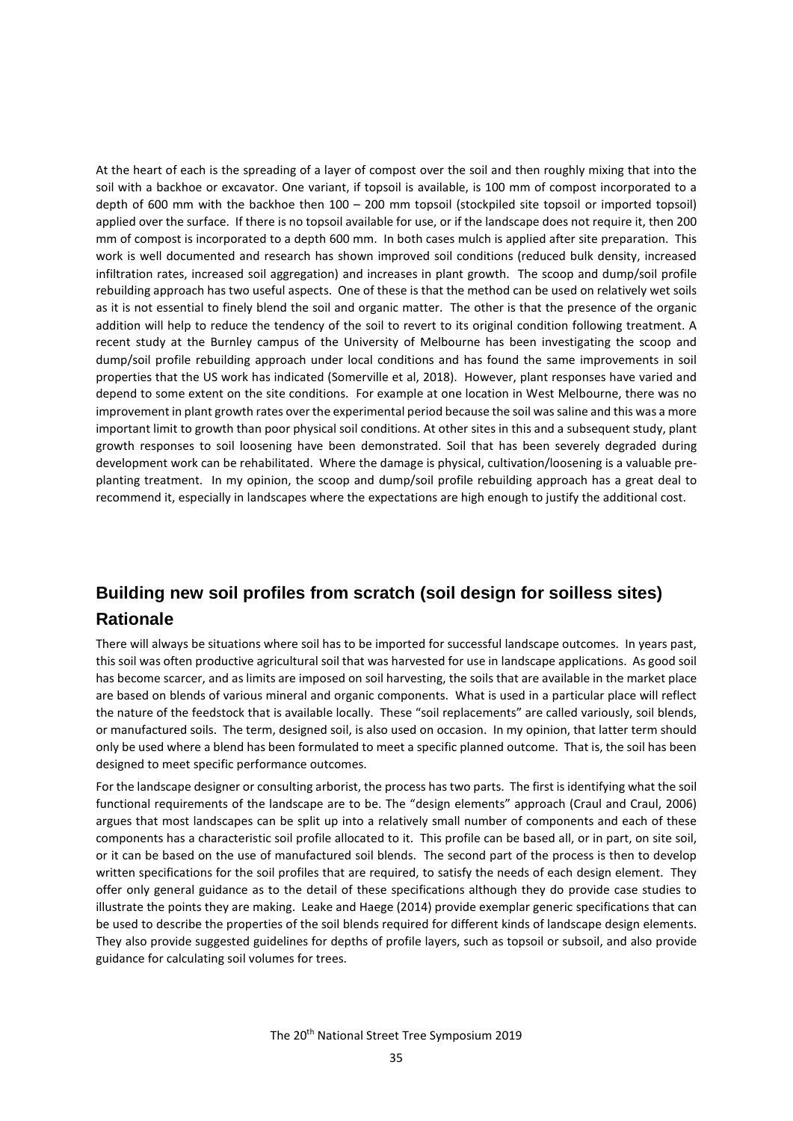At the heart of each is the spreading of a layer of compost over the soil and then roughly mixing that into the soil with a backhoe or excavator. One variant, if topsoil is available, is 100 mm of compost incorporated to a depth of 600 mm with the backhoe then 100 – 200 mm topsoil (stockpiled site topsoil or imported topsoil) applied over the surface. If there is no topsoil available for use, or if the landscape does not require it, then 200 mm of compost is incorporated to a depth 600 mm. In both cases mulch is applied after site preparation. This work is well documented and research has shown improved soil conditions (reduced bulk density, increased infiltration rates, increased soil aggregation) and increases in plant growth. The scoop and dump/soil profile rebuilding approach has two useful aspects. One of these is that the method can be used on relatively wet soils as it is not essential to finely blend the soil and organic matter. The other is that the presence of the organic addition will help to reduce the tendency of the soil to revert to its original condition following treatment. A recent study at the Burnley campus of the University of Melbourne has been investigating the scoop and dump/soil profile rebuilding approach under local conditions and has found the same improvements in soil properties that the US work has indicated (Somerville et al, 2018). However, plant responses have varied and depend to some extent on the site conditions. For example at one location in West Melbourne, there was no improvement in plant growth rates over the experimental period because the soil was saline and this was a more important limit to growth than poor physical soil conditions. At other sites in this and a subsequent study, plant growth responses to soil loosening have been demonstrated. Soil that has been severely degraded during development work can be rehabilitated. Where the damage is physical, cultivation/loosening is a valuable preplanting treatment. In my opinion, the scoop and dump/soil profile rebuilding approach has a great deal to recommend it, especially in landscapes where the expectations are high enough to justify the additional cost.

# **Building new soil profiles from scratch (soil design for soilless sites) Rationale**

There will always be situations where soil has to be imported for successful landscape outcomes. In years past, this soil was often productive agricultural soil that was harvested for use in landscape applications. As good soil has become scarcer, and as limits are imposed on soil harvesting, the soils that are available in the market place are based on blends of various mineral and organic components. What is used in a particular place will reflect the nature of the feedstock that is available locally. These "soil replacements" are called variously, soil blends, or manufactured soils. The term, designed soil, is also used on occasion. In my opinion, that latter term should only be used where a blend has been formulated to meet a specific planned outcome. That is, the soil has been designed to meet specific performance outcomes.

For the landscape designer or consulting arborist, the process has two parts. The first is identifying what the soil functional requirements of the landscape are to be. The "design elements" approach (Craul and Craul, 2006) argues that most landscapes can be split up into a relatively small number of components and each of these components has a characteristic soil profile allocated to it. This profile can be based all, or in part, on site soil, or it can be based on the use of manufactured soil blends. The second part of the process is then to develop written specifications for the soil profiles that are required, to satisfy the needs of each design element. They offer only general guidance as to the detail of these specifications although they do provide case studies to illustrate the points they are making. Leake and Haege (2014) provide exemplar generic specifications that can be used to describe the properties of the soil blends required for different kinds of landscape design elements. They also provide suggested guidelines for depths of profile layers, such as topsoil or subsoil, and also provide guidance for calculating soil volumes for trees.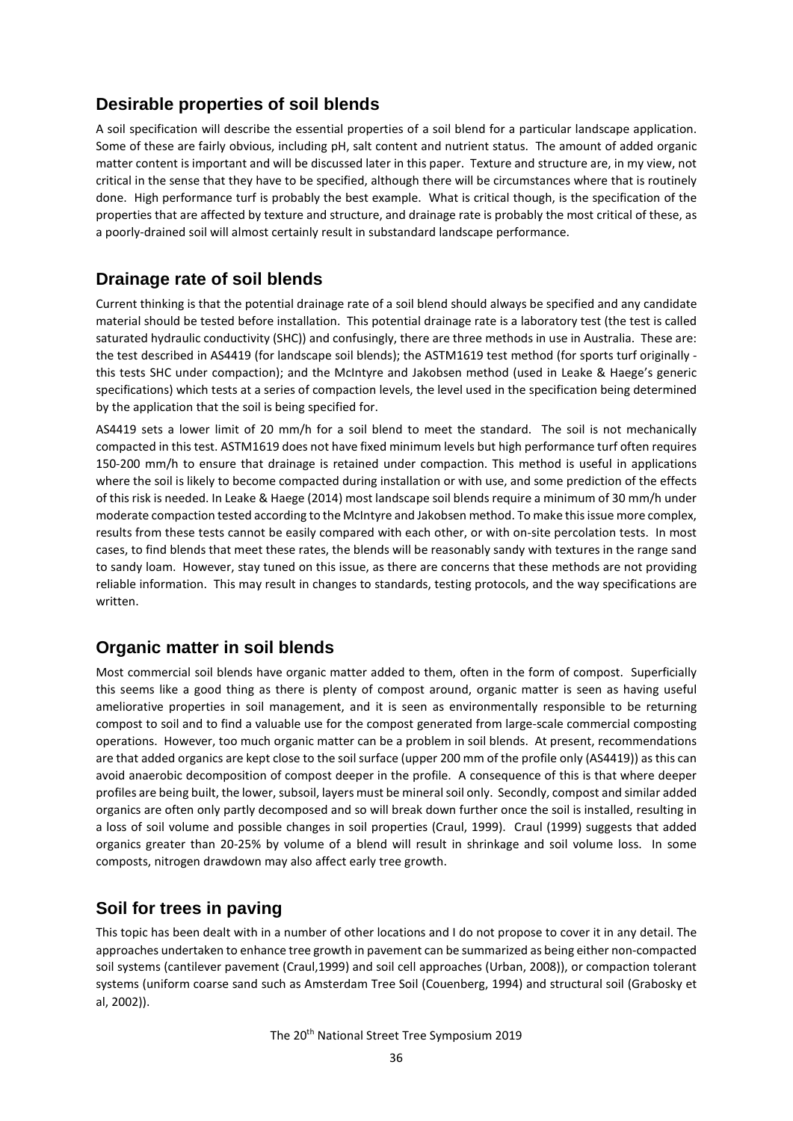### **Desirable properties of soil blends**

A soil specification will describe the essential properties of a soil blend for a particular landscape application. Some of these are fairly obvious, including pH, salt content and nutrient status. The amount of added organic matter content is important and will be discussed later in this paper. Texture and structure are, in my view, not critical in the sense that they have to be specified, although there will be circumstances where that is routinely done. High performance turf is probably the best example. What is critical though, is the specification of the properties that are affected by texture and structure, and drainage rate is probably the most critical of these, as a poorly-drained soil will almost certainly result in substandard landscape performance.

## **Drainage rate of soil blends**

Current thinking is that the potential drainage rate of a soil blend should always be specified and any candidate material should be tested before installation. This potential drainage rate is a laboratory test (the test is called saturated hydraulic conductivity (SHC)) and confusingly, there are three methods in use in Australia. These are: the test described in AS4419 (for landscape soil blends); the ASTM1619 test method (for sports turf originally this tests SHC under compaction); and the McIntyre and Jakobsen method (used in Leake & Haege's generic specifications) which tests at a series of compaction levels, the level used in the specification being determined by the application that the soil is being specified for.

AS4419 sets a lower limit of 20 mm/h for a soil blend to meet the standard. The soil is not mechanically compacted in this test. ASTM1619 does not have fixed minimum levels but high performance turf often requires 150-200 mm/h to ensure that drainage is retained under compaction. This method is useful in applications where the soil is likely to become compacted during installation or with use, and some prediction of the effects of this risk is needed. In Leake & Haege (2014) most landscape soil blends require a minimum of 30 mm/h under moderate compaction tested according to the McIntyre and Jakobsen method. To make this issue more complex, results from these tests cannot be easily compared with each other, or with on-site percolation tests. In most cases, to find blends that meet these rates, the blends will be reasonably sandy with textures in the range sand to sandy loam. However, stay tuned on this issue, as there are concerns that these methods are not providing reliable information. This may result in changes to standards, testing protocols, and the way specifications are written.

## **Organic matter in soil blends**

Most commercial soil blends have organic matter added to them, often in the form of compost. Superficially this seems like a good thing as there is plenty of compost around, organic matter is seen as having useful ameliorative properties in soil management, and it is seen as environmentally responsible to be returning compost to soil and to find a valuable use for the compost generated from large-scale commercial composting operations. However, too much organic matter can be a problem in soil blends. At present, recommendations are that added organics are kept close to the soil surface (upper 200 mm of the profile only (AS4419)) as this can avoid anaerobic decomposition of compost deeper in the profile. A consequence of this is that where deeper profiles are being built, the lower, subsoil, layers must be mineral soil only. Secondly, compost and similar added organics are often only partly decomposed and so will break down further once the soil is installed, resulting in a loss of soil volume and possible changes in soil properties (Craul, 1999). Craul (1999) suggests that added organics greater than 20-25% by volume of a blend will result in shrinkage and soil volume loss. In some composts, nitrogen drawdown may also affect early tree growth.

## **Soil for trees in paving**

This topic has been dealt with in a number of other locations and I do not propose to cover it in any detail. The approaches undertaken to enhance tree growth in pavement can be summarized as being either non-compacted soil systems (cantilever pavement (Craul,1999) and soil cell approaches (Urban, 2008)), or compaction tolerant systems (uniform coarse sand such as Amsterdam Tree Soil (Couenberg, 1994) and structural soil (Grabosky et al, 2002)).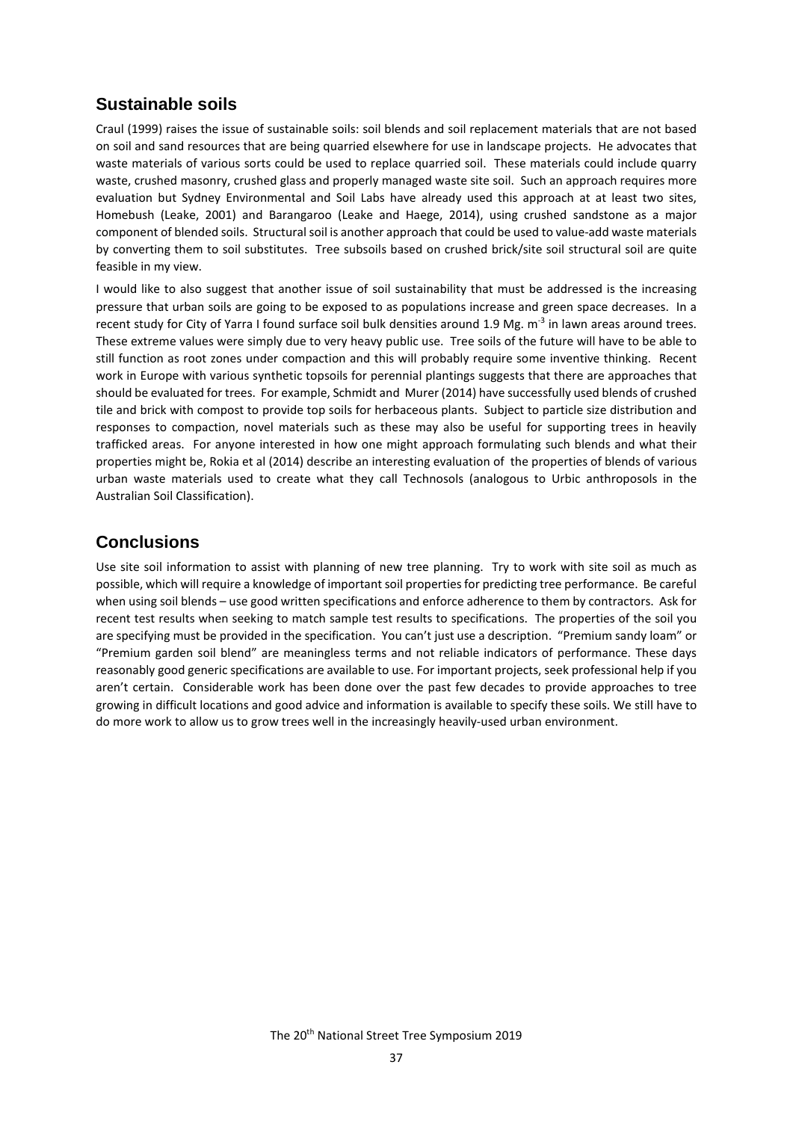### **Sustainable soils**

Craul (1999) raises the issue of sustainable soils: soil blends and soil replacement materials that are not based on soil and sand resources that are being quarried elsewhere for use in landscape projects. He advocates that waste materials of various sorts could be used to replace quarried soil. These materials could include quarry waste, crushed masonry, crushed glass and properly managed waste site soil. Such an approach requires more evaluation but Sydney Environmental and Soil Labs have already used this approach at at least two sites, Homebush (Leake, 2001) and Barangaroo (Leake and Haege, 2014), using crushed sandstone as a major component of blended soils. Structural soil is another approach that could be used to value-add waste materials by converting them to soil substitutes. Tree subsoils based on crushed brick/site soil structural soil are quite feasible in my view.

I would like to also suggest that another issue of soil sustainability that must be addressed is the increasing pressure that urban soils are going to be exposed to as populations increase and green space decreases. In a recent study for City of Yarra I found surface soil bulk densities around 1.9 Mg. m<sup>-3</sup> in lawn areas around trees. These extreme values were simply due to very heavy public use. Tree soils of the future will have to be able to still function as root zones under compaction and this will probably require some inventive thinking. Recent work in Europe with various synthetic topsoils for perennial plantings suggests that there are approaches that should be evaluated for trees. For example, Schmidt and Murer (2014) have successfully used blends of crushed tile and brick with compost to provide top soils for herbaceous plants. Subject to particle size distribution and responses to compaction, novel materials such as these may also be useful for supporting trees in heavily trafficked areas. For anyone interested in how one might approach formulating such blends and what their properties might be, Rokia et al (2014) describe an interesting evaluation of the properties of blends of various urban waste materials used to create what they call Technosols (analogous to Urbic anthroposols in the Australian Soil Classification).

#### **Conclusions**

Use site soil information to assist with planning of new tree planning. Try to work with site soil as much as possible, which will require a knowledge of important soil properties for predicting tree performance. Be careful when using soil blends – use good written specifications and enforce adherence to them by contractors. Ask for recent test results when seeking to match sample test results to specifications. The properties of the soil you are specifying must be provided in the specification. You can't just use a description. "Premium sandy loam" or "Premium garden soil blend" are meaningless terms and not reliable indicators of performance. These days reasonably good generic specifications are available to use. For important projects, seek professional help if you aren't certain. Considerable work has been done over the past few decades to provide approaches to tree growing in difficult locations and good advice and information is available to specify these soils. We still have to do more work to allow us to grow trees well in the increasingly heavily-used urban environment.